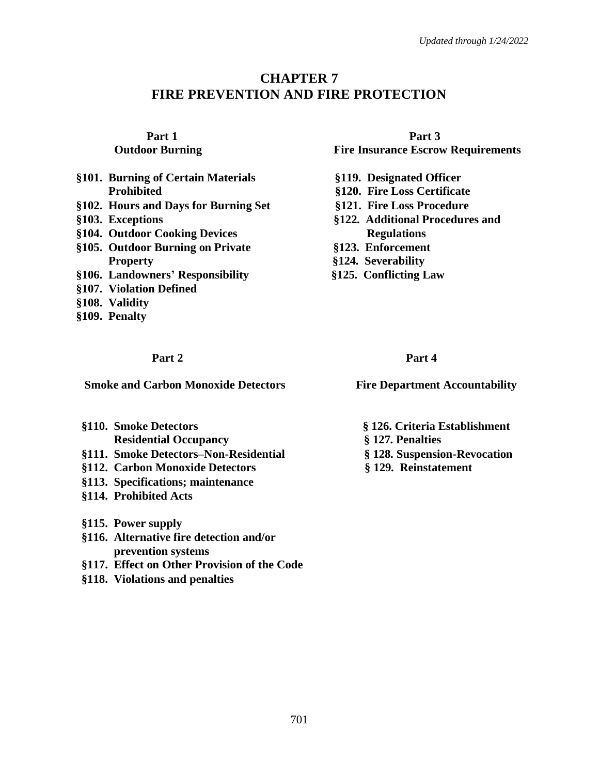# **CHAPTER 7 FIRE PREVENTION AND FIRE PROTECTION**

- **§101. Burning of Certain Materials §119. Designated Officer Prohibited §120. Fire Loss Certificate**
- **§102. Hours and Days for Burning Set §121. Fire Loss Procedure**
- 
- **§104. Outdoor Cooking Devices Regulations**
- **§105. Outdoor Burning on Private §123. Enforcement Property** §124. Severability
- **§106. Landowners' Responsibility §125. Conflicting Law**
- **§107. Violation Defined**
- **§108. Validity**
- **§109. Penalty**

## **Part 2** Part 4

**Smoke and Carbon Monoxide Detectors Fire Department Accountability** 

- **§110. Smoke Detectors § 126. Criteria Establishment Residential Occupancy § 127. Penalties**
- **§111. Smoke Detectors–Non-Residential § 128. Suspension-Revocation**
- **§112. Carbon Monoxide Detectors § 129. Reinstatement**
- **§113. Specifications; maintenance**
- **§114. Prohibited Acts**
- **§115. Power supply**
- **§116. Alternative fire detection and/or prevention systems**
- **§117. Effect on Other Provision of the Code**
- **§118. Violations and penalties**

## **Part 1 Part 3 Outdoor Burning Fire Insurance Escrow Requirements**

- 
- 
- 
- **§103. Exceptions §122. Additional Procedures and** 
	-
	-
	-

- 
- 
- 
-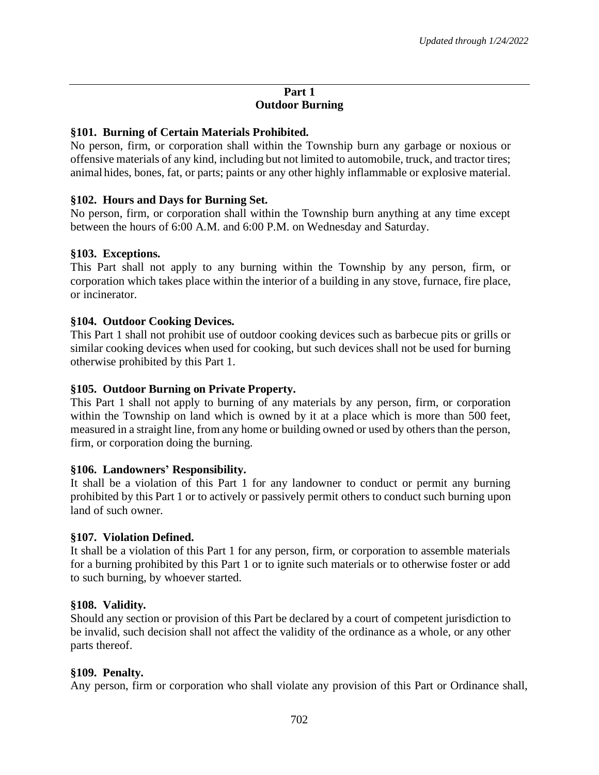## **Part 1 Outdoor Burning**

## **§101. Burning of Certain Materials Prohibited.**

No person, firm, or corporation shall within the Township burn any garbage or noxious or offensive materials of any kind, including but not limited to automobile, truck, and tractor tires; animal hides, bones, fat, or parts; paints or any other highly inflammable or explosive material.

## **§102. Hours and Days for Burning Set.**

No person, firm, or corporation shall within the Township burn anything at any time except between the hours of 6:00 A.M. and 6:00 P.M. on Wednesday and Saturday.

## **§103. Exceptions.**

This Part shall not apply to any burning within the Township by any person, firm, or corporation which takes place within the interior of a building in any stove, furnace, fire place, or incinerator.

## **§104. Outdoor Cooking Devices.**

This Part 1 shall not prohibit use of outdoor cooking devices such as barbecue pits or grills or similar cooking devices when used for cooking, but such devices shall not be used for burning otherwise prohibited by this Part 1.

### **§105. Outdoor Burning on Private Property.**

This Part 1 shall not apply to burning of any materials by any person, firm, or corporation within the Township on land which is owned by it at a place which is more than 500 feet, measured in a straight line, from any home or building owned or used by others than the person, firm, or corporation doing the burning.

### **§106. Landowners' Responsibility.**

It shall be a violation of this Part 1 for any landowner to conduct or permit any burning prohibited by this Part 1 or to actively or passively permit others to conduct such burning upon land of such owner.

### **§107. Violation Defined.**

It shall be a violation of this Part 1 for any person, firm, or corporation to assemble materials for a burning prohibited by this Part 1 or to ignite such materials or to otherwise foster or add to such burning, by whoever started.

### **§108. Validity.**

Should any section or provision of this Part be declared by a court of competent jurisdiction to be invalid, such decision shall not affect the validity of the ordinance as a whole, or any other parts thereof.

### **§109. Penalty.**

Any person, firm or corporation who shall violate any provision of this Part or Ordinance shall,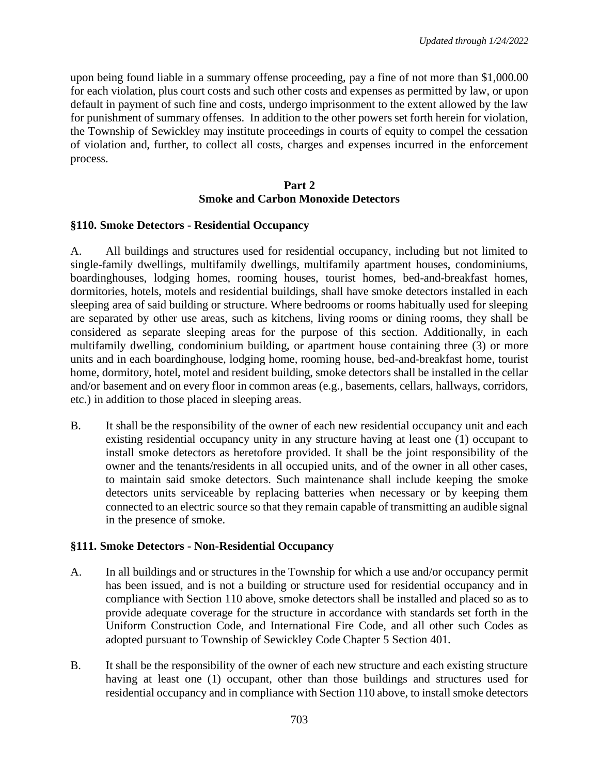upon being found liable in a summary offense proceeding, pay a fine of not more than \$1,000.00 for each violation, plus court costs and such other costs and expenses as permitted by law, or upon default in payment of such fine and costs, undergo imprisonment to the extent allowed by the law for punishment of summary offenses. In addition to the other powers set forth herein for violation, the Township of Sewickley may institute proceedings in courts of equity to compel the cessation of violation and, further, to collect all costs, charges and expenses incurred in the enforcement process.

## **Part 2 Smoke and Carbon Monoxide Detectors**

### **§110. Smoke Detectors - Residential Occupancy**

A. All buildings and structures used for residential occupancy, including but not limited to single-family dwellings, multifamily dwellings, multifamily apartment houses, condominiums, boardinghouses, lodging homes, rooming houses, tourist homes, bed-and-breakfast homes, dormitories, hotels, motels and residential buildings, shall have smoke detectors installed in each sleeping area of said building or structure. Where bedrooms or rooms habitually used for sleeping are separated by other use areas, such as kitchens, living rooms or dining rooms, they shall be considered as separate sleeping areas for the purpose of this section. Additionally, in each multifamily dwelling, condominium building, or apartment house containing three (3) or more units and in each boardinghouse, lodging home, rooming house, bed-and-breakfast home, tourist home, dormitory, hotel, motel and resident building, smoke detectors shall be installed in the cellar and/or basement and on every floor in common areas (e.g., basements, cellars, hallways, corridors, etc.) in addition to those placed in sleeping areas.

B. It shall be the responsibility of the owner of each new residential occupancy unit and each existing residential occupancy unity in any structure having at least one (1) occupant to install smoke detectors as heretofore provided. It shall be the joint responsibility of the owner and the tenants/residents in all occupied units, and of the owner in all other cases, to maintain said smoke detectors. Such maintenance shall include keeping the smoke detectors units serviceable by replacing batteries when necessary or by keeping them connected to an electric source so that they remain capable of transmitting an audible signal in the presence of smoke.

## **§111. Smoke Detectors - Non-Residential Occupancy**

- A. In all buildings and or structures in the Township for which a use and/or occupancy permit has been issued, and is not a building or structure used for residential occupancy and in compliance with Section 110 above, smoke detectors shall be installed and placed so as to provide adequate coverage for the structure in accordance with standards set forth in the Uniform Construction Code, and International Fire Code, and all other such Codes as adopted pursuant to Township of Sewickley Code Chapter 5 Section 401.
- B. It shall be the responsibility of the owner of each new structure and each existing structure having at least one (1) occupant, other than those buildings and structures used for residential occupancy and in compliance with Section 110 above, to install smoke detectors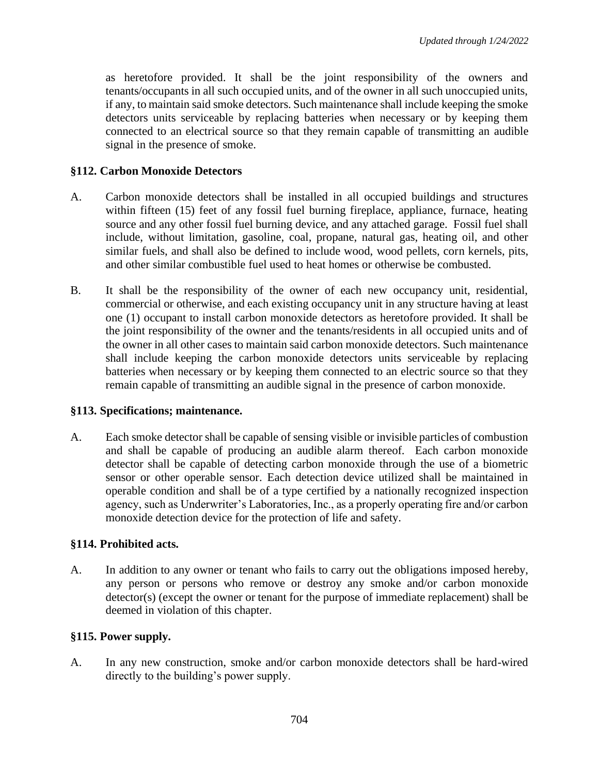as heretofore provided. It shall be the joint responsibility of the owners and tenants/occupants in all such occupied units, and of the owner in all such unoccupied units, if any, to maintain said smoke detectors. Such maintenance shall include keeping the smoke detectors units serviceable by replacing batteries when necessary or by keeping them connected to an electrical source so that they remain capable of transmitting an audible signal in the presence of smoke.

## **§112. Carbon Monoxide Detectors**

- A. Carbon monoxide detectors shall be installed in all occupied buildings and structures within fifteen (15) feet of any fossil fuel burning fireplace, appliance, furnace, heating source and any other fossil fuel burning device, and any attached garage. Fossil fuel shall include, without limitation, gasoline, coal, propane, natural gas, heating oil, and other similar fuels, and shall also be defined to include wood, wood pellets, corn kernels, pits, and other similar combustible fuel used to heat homes or otherwise be combusted.
- B. It shall be the responsibility of the owner of each new occupancy unit, residential, commercial or otherwise, and each existing occupancy unit in any structure having at least one (1) occupant to install carbon monoxide detectors as heretofore provided. It shall be the joint responsibility of the owner and the tenants/residents in all occupied units and of the owner in all other cases to maintain said carbon monoxide detectors. Such maintenance shall include keeping the carbon monoxide detectors units serviceable by replacing batteries when necessary or by keeping them connected to an electric source so that they remain capable of transmitting an audible signal in the presence of carbon monoxide.

### **§113. Specifications; maintenance.**

A. Each smoke detector shall be capable of sensing visible or invisible particles of combustion and shall be capable of producing an audible alarm thereof. Each carbon monoxide detector shall be capable of detecting carbon monoxide through the use of a biometric sensor or other operable sensor. Each detection device utilized shall be maintained in operable condition and shall be of a type certified by a nationally recognized inspection agency, such as Underwriter's Laboratories, Inc., as a properly operating fire and/or carbon monoxide detection device for the protection of life and safety.

## **§114. Prohibited acts.**

A. In addition to any owner or tenant who fails to carry out the obligations imposed hereby, any person or persons who remove or destroy any smoke and/or carbon monoxide detector(s) (except the owner or tenant for the purpose of immediate replacement) shall be deemed in violation of this chapter.

### **§115. Power supply.**

A. In any new construction, smoke and/or carbon monoxide detectors shall be hard-wired directly to the building's power supply.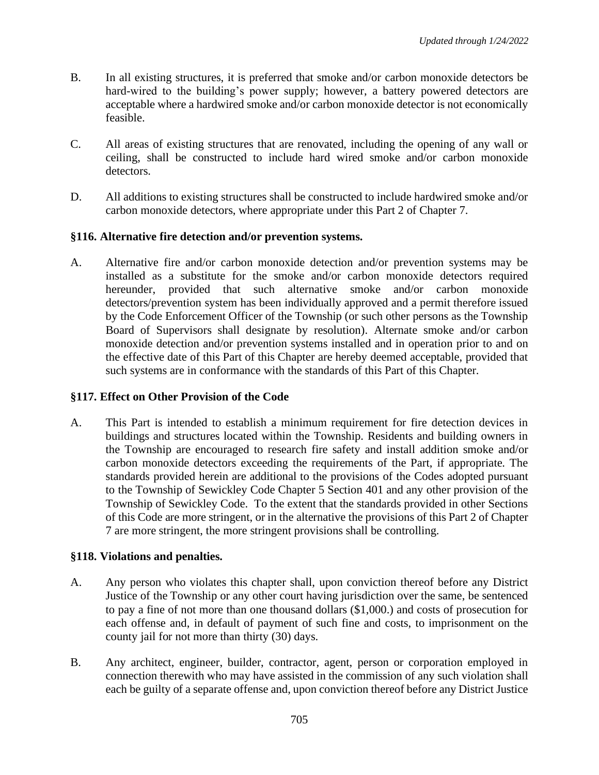- B. In all existing structures, it is preferred that smoke and/or carbon monoxide detectors be hard-wired to the building's power supply; however, a battery powered detectors are acceptable where a hardwired smoke and/or carbon monoxide detector is not economically feasible.
- C. All areas of existing structures that are renovated, including the opening of any wall or ceiling, shall be constructed to include hard wired smoke and/or carbon monoxide detectors.
- D. All additions to existing structures shall be constructed to include hardwired smoke and/or carbon monoxide detectors, where appropriate under this Part 2 of Chapter 7.

## **§116. Alternative fire detection and/or prevention systems.**

A. Alternative fire and/or carbon monoxide detection and/or prevention systems may be installed as a substitute for the smoke and/or carbon monoxide detectors required hereunder, provided that such alternative smoke and/or carbon monoxide detectors/prevention system has been individually approved and a permit therefore issued by the Code Enforcement Officer of the Township (or such other persons as the Township Board of Supervisors shall designate by resolution). Alternate smoke and/or carbon monoxide detection and/or prevention systems installed and in operation prior to and on the effective date of this Part of this Chapter are hereby deemed acceptable, provided that such systems are in conformance with the standards of this Part of this Chapter.

## **§117. Effect on Other Provision of the Code**

A. This Part is intended to establish a minimum requirement for fire detection devices in buildings and structures located within the Township. Residents and building owners in the Township are encouraged to research fire safety and install addition smoke and/or carbon monoxide detectors exceeding the requirements of the Part, if appropriate. The standards provided herein are additional to the provisions of the Codes adopted pursuant to the Township of Sewickley Code Chapter 5 Section 401 and any other provision of the Township of Sewickley Code. To the extent that the standards provided in other Sections of this Code are more stringent, or in the alternative the provisions of this Part 2 of Chapter 7 are more stringent, the more stringent provisions shall be controlling.

## **§118. Violations and penalties.**

- A. Any person who violates this chapter shall, upon conviction thereof before any District Justice of the Township or any other court having jurisdiction over the same, be sentenced to pay a fine of not more than one thousand dollars (\$1,000.) and costs of prosecution for each offense and, in default of payment of such fine and costs, to imprisonment on the county jail for not more than thirty (30) days.
- B. Any architect, engineer, builder, contractor, agent, person or corporation employed in connection therewith who may have assisted in the commission of any such violation shall each be guilty of a separate offense and, upon conviction thereof before any District Justice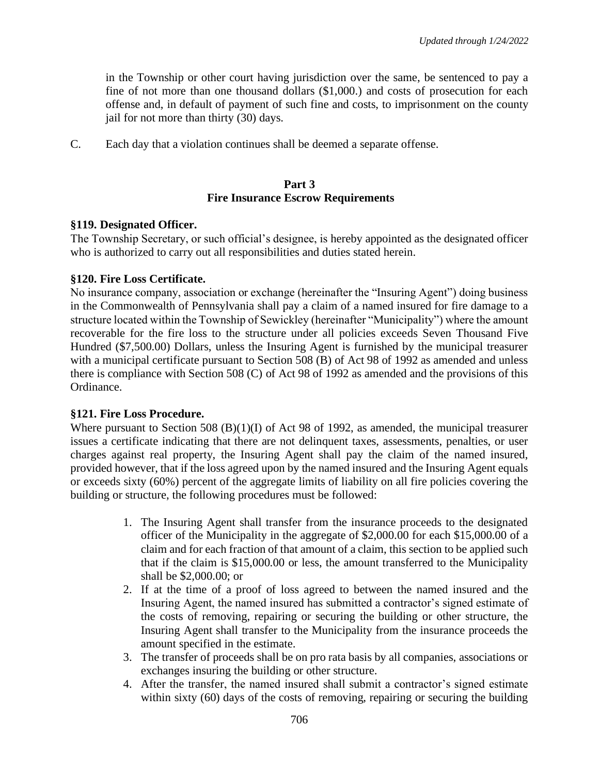in the Township or other court having jurisdiction over the same, be sentenced to pay a fine of not more than one thousand dollars (\$1,000.) and costs of prosecution for each offense and, in default of payment of such fine and costs, to imprisonment on the county jail for not more than thirty (30) days.

C. Each day that a violation continues shall be deemed a separate offense.

#### **Part 3 Fire Insurance Escrow Requirements**

### **§119. Designated Officer.**

The Township Secretary, or such official's designee, is hereby appointed as the designated officer who is authorized to carry out all responsibilities and duties stated herein.

## **§120. Fire Loss Certificate.**

No insurance company, association or exchange (hereinafter the "Insuring Agent") doing business in the Commonwealth of Pennsylvania shall pay a claim of a named insured for fire damage to a structure located within the Township of Sewickley (hereinafter "Municipality") where the amount recoverable for the fire loss to the structure under all policies exceeds Seven Thousand Five Hundred (\$7,500.00) Dollars, unless the Insuring Agent is furnished by the municipal treasurer with a municipal certificate pursuant to Section 508 (B) of Act 98 of 1992 as amended and unless there is compliance with Section 508 (C) of Act 98 of 1992 as amended and the provisions of this Ordinance.

### **§121. Fire Loss Procedure.**

Where pursuant to Section 508 (B)(1)(I) of Act 98 of 1992, as amended, the municipal treasurer issues a certificate indicating that there are not delinquent taxes, assessments, penalties, or user charges against real property, the Insuring Agent shall pay the claim of the named insured, provided however, that if the loss agreed upon by the named insured and the Insuring Agent equals or exceeds sixty (60%) percent of the aggregate limits of liability on all fire policies covering the building or structure, the following procedures must be followed:

- 1. The Insuring Agent shall transfer from the insurance proceeds to the designated officer of the Municipality in the aggregate of \$2,000.00 for each \$15,000.00 of a claim and for each fraction of that amount of a claim, this section to be applied such that if the claim is \$15,000.00 or less, the amount transferred to the Municipality shall be \$2,000.00; or
- 2. If at the time of a proof of loss agreed to between the named insured and the Insuring Agent, the named insured has submitted a contractor's signed estimate of the costs of removing, repairing or securing the building or other structure, the Insuring Agent shall transfer to the Municipality from the insurance proceeds the amount specified in the estimate.
- 3. The transfer of proceeds shall be on pro rata basis by all companies, associations or exchanges insuring the building or other structure.
- 4. After the transfer, the named insured shall submit a contractor's signed estimate within sixty (60) days of the costs of removing, repairing or securing the building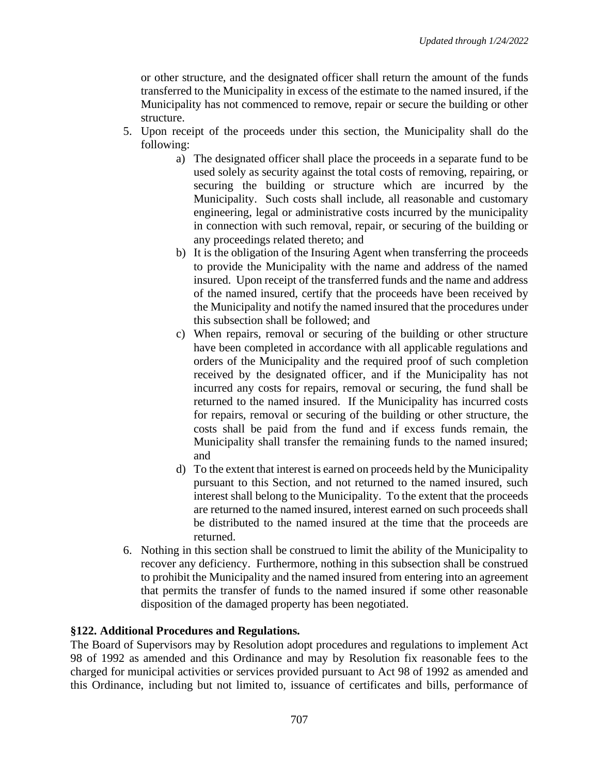or other structure, and the designated officer shall return the amount of the funds transferred to the Municipality in excess of the estimate to the named insured, if the Municipality has not commenced to remove, repair or secure the building or other structure.

- 5. Upon receipt of the proceeds under this section, the Municipality shall do the following:
	- a) The designated officer shall place the proceeds in a separate fund to be used solely as security against the total costs of removing, repairing, or securing the building or structure which are incurred by the Municipality. Such costs shall include, all reasonable and customary engineering, legal or administrative costs incurred by the municipality in connection with such removal, repair, or securing of the building or any proceedings related thereto; and
	- b) It is the obligation of the Insuring Agent when transferring the proceeds to provide the Municipality with the name and address of the named insured. Upon receipt of the transferred funds and the name and address of the named insured, certify that the proceeds have been received by the Municipality and notify the named insured that the procedures under this subsection shall be followed; and
	- c) When repairs, removal or securing of the building or other structure have been completed in accordance with all applicable regulations and orders of the Municipality and the required proof of such completion received by the designated officer, and if the Municipality has not incurred any costs for repairs, removal or securing, the fund shall be returned to the named insured. If the Municipality has incurred costs for repairs, removal or securing of the building or other structure, the costs shall be paid from the fund and if excess funds remain, the Municipality shall transfer the remaining funds to the named insured; and
	- d) To the extent that interest is earned on proceeds held by the Municipality pursuant to this Section, and not returned to the named insured, such interest shall belong to the Municipality. To the extent that the proceeds are returned to the named insured, interest earned on such proceeds shall be distributed to the named insured at the time that the proceeds are returned.
- 6. Nothing in this section shall be construed to limit the ability of the Municipality to recover any deficiency. Furthermore, nothing in this subsection shall be construed to prohibit the Municipality and the named insured from entering into an agreement that permits the transfer of funds to the named insured if some other reasonable disposition of the damaged property has been negotiated.

## **§122. Additional Procedures and Regulations.**

The Board of Supervisors may by Resolution adopt procedures and regulations to implement Act 98 of 1992 as amended and this Ordinance and may by Resolution fix reasonable fees to the charged for municipal activities or services provided pursuant to Act 98 of 1992 as amended and this Ordinance, including but not limited to, issuance of certificates and bills, performance of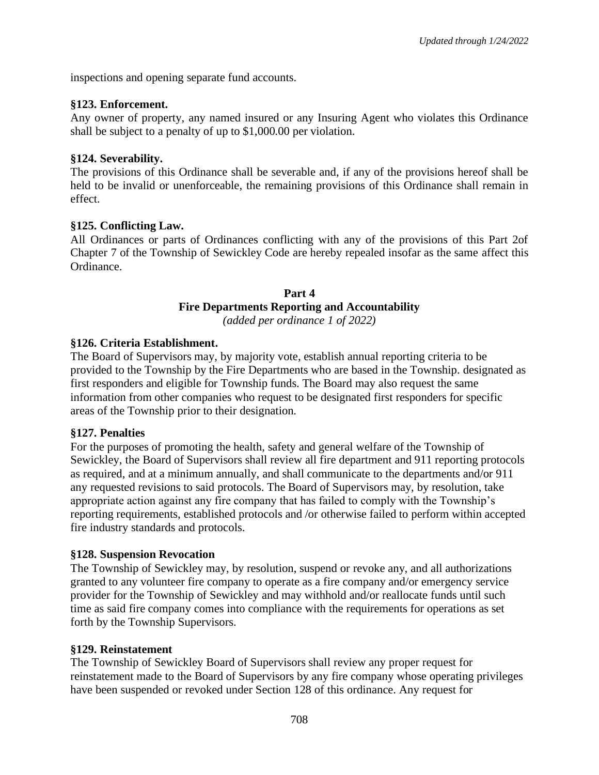inspections and opening separate fund accounts.

## **§123. Enforcement.**

Any owner of property, any named insured or any Insuring Agent who violates this Ordinance shall be subject to a penalty of up to \$1,000.00 per violation.

## **§124. Severability.**

The provisions of this Ordinance shall be severable and, if any of the provisions hereof shall be held to be invalid or unenforceable, the remaining provisions of this Ordinance shall remain in effect.

## **§125. Conflicting Law.**

All Ordinances or parts of Ordinances conflicting with any of the provisions of this Part 2of Chapter 7 of the Township of Sewickley Code are hereby repealed insofar as the same affect this Ordinance.

### **Part 4 Fire Departments Reporting and Accountability** *(added per ordinance 1 of 2022)*

## **§126. Criteria Establishment.**

The Board of Supervisors may, by majority vote, establish annual reporting criteria to be provided to the Township by the Fire Departments who are based in the Township. designated as first responders and eligible for Township funds. The Board may also request the same information from other companies who request to be designated first responders for specific areas of the Township prior to their designation.

### **§127. Penalties**

For the purposes of promoting the health, safety and general welfare of the Township of Sewickley, the Board of Supervisors shall review all fire department and 911 reporting protocols as required, and at a minimum annually, and shall communicate to the departments and/or 911 any requested revisions to said protocols. The Board of Supervisors may, by resolution, take appropriate action against any fire company that has failed to comply with the Township's reporting requirements, established protocols and /or otherwise failed to perform within accepted fire industry standards and protocols.

### **§128. Suspension Revocation**

The Township of Sewickley may, by resolution, suspend or revoke any, and all authorizations granted to any volunteer fire company to operate as a fire company and/or emergency service provider for the Township of Sewickley and may withhold and/or reallocate funds until such time as said fire company comes into compliance with the requirements for operations as set forth by the Township Supervisors.

### **§129. Reinstatement**

The Township of Sewickley Board of Supervisors shall review any proper request for reinstatement made to the Board of Supervisors by any fire company whose operating privileges have been suspended or revoked under Section 128 of this ordinance. Any request for